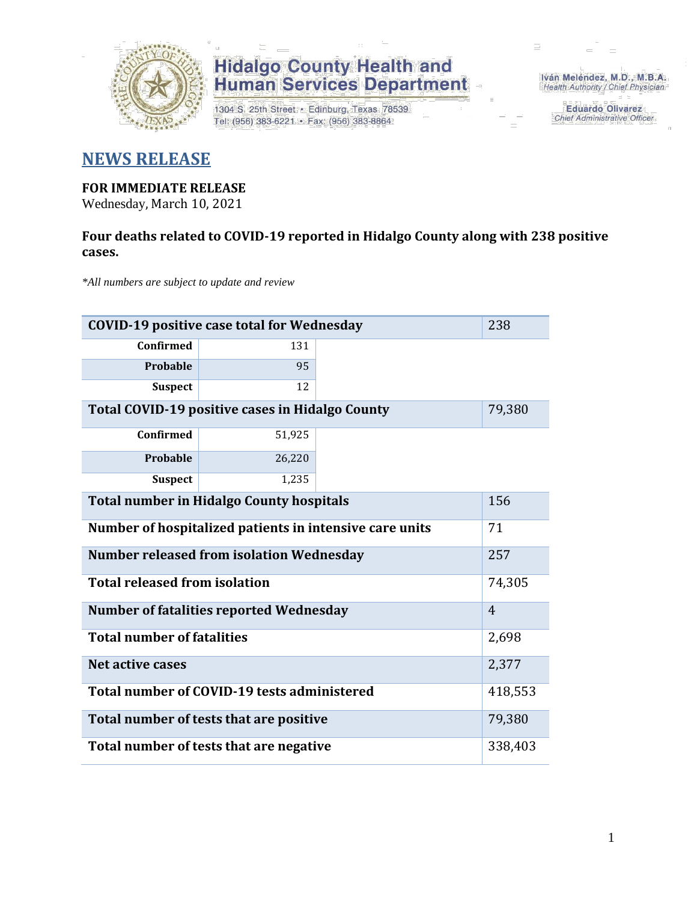

1304 S. 25th Street · Edinburg, Texas 78539 Tel: (956) 383-6221 · Fax: (956) 383-8864

Iván Meléndez, M.D., M.B.A. Health Authority / Chief Physician

> **Eduardo Olivarez** Chief Administrative Officer

### **NEWS RELEASE**

#### **FOR IMMEDIATE RELEASE**

Wednesday, March 10, 2021

### **Four deaths related to COVID-19 reported in Hidalgo County along with 238 positive cases.**

*\*All numbers are subject to update and review*

| <b>COVID-19 positive case total for Wednesday</b><br>238      |                                                 |  |        |  |  |
|---------------------------------------------------------------|-------------------------------------------------|--|--------|--|--|
| <b>Confirmed</b>                                              | 131                                             |  |        |  |  |
| Probable                                                      | 95                                              |  |        |  |  |
| <b>Suspect</b>                                                | 12                                              |  |        |  |  |
|                                                               | Total COVID-19 positive cases in Hidalgo County |  | 79,380 |  |  |
| <b>Confirmed</b>                                              | 51,925                                          |  |        |  |  |
| Probable                                                      | 26,220                                          |  |        |  |  |
| <b>Suspect</b>                                                | 1,235                                           |  |        |  |  |
| <b>Total number in Hidalgo County hospitals</b>               | 156                                             |  |        |  |  |
| Number of hospitalized patients in intensive care units<br>71 |                                                 |  |        |  |  |
| <b>Number released from isolation Wednesday</b><br>257        |                                                 |  |        |  |  |
| <b>Total released from isolation</b><br>74,305                |                                                 |  |        |  |  |
| <b>Number of fatalities reported Wednesday</b>                | $\overline{4}$                                  |  |        |  |  |
| <b>Total number of fatalities</b>                             | 2,698                                           |  |        |  |  |
| <b>Net active cases</b>                                       | 2,377                                           |  |        |  |  |
| Total number of COVID-19 tests administered                   | 418,553                                         |  |        |  |  |
| Total number of tests that are positive                       | 79,380                                          |  |        |  |  |
| Total number of tests that are negative                       | 338,403                                         |  |        |  |  |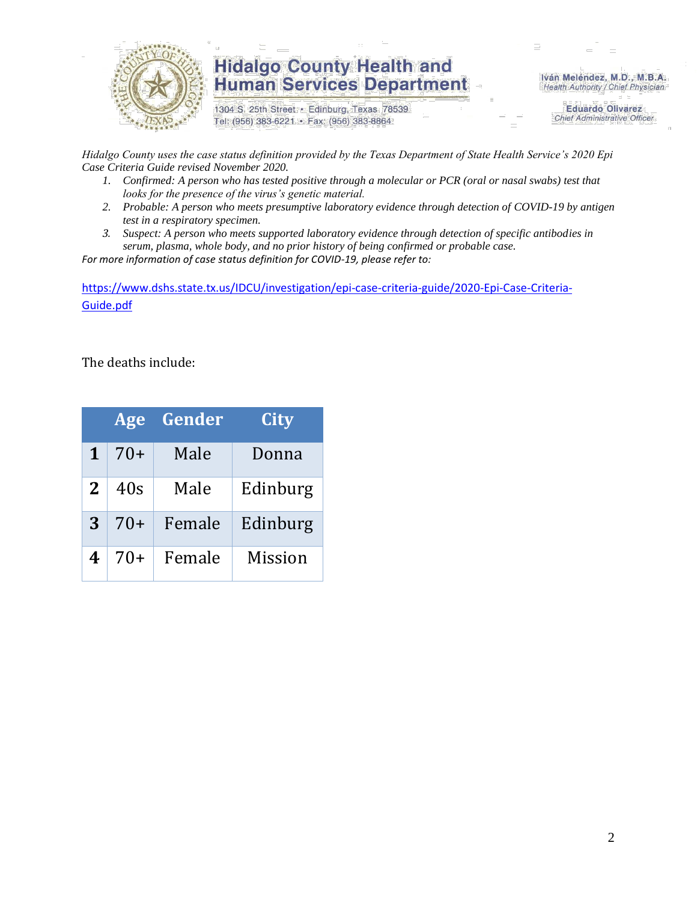

1304 S. 25th Street · Edinburg, Texas 78539 Tel: (956) 383-6221 · Fax: (956) 383-8864

Iván Meléndez, M.D., M.B.A. Health Authority / Chief Physician

> **Eduardo Olivarez Chief Administrative Officer**

*Hidalgo County uses the case status definition provided by the Texas Department of State Health Service's 2020 Epi Case Criteria Guide revised November 2020.*

- *1. Confirmed: A person who has tested positive through a molecular or PCR (oral or nasal swabs) test that looks for the presence of the virus's genetic material.*
- *2. Probable: A person who meets presumptive laboratory evidence through detection of COVID-19 by antigen test in a respiratory specimen.*
- *3. Suspect: A person who meets supported laboratory evidence through detection of specific antibodies in serum, plasma, whole body, and no prior history of being confirmed or probable case.*

*For more information of case status definition for COVID-19, please refer to:*

[https://www.dshs.state.tx.us/IDCU/investigation/epi-case-criteria-guide/2020-Epi-Case-Criteria-](https://www.dshs.state.tx.us/IDCU/investigation/epi-case-criteria-guide/2020-Epi-Case-Criteria-Guide.pdf)[Guide.pdf](https://www.dshs.state.tx.us/IDCU/investigation/epi-case-criteria-guide/2020-Epi-Case-Criteria-Guide.pdf)

The deaths include:

|   | <b>Age</b> | Gender | City           |
|---|------------|--------|----------------|
| 1 | $70+$      | Male   | Donna          |
| 2 | 40s        | Male   | Edinburg       |
| 3 | $70+$      | Female | Edinburg       |
| 4 | 70+        | Female | <b>Mission</b> |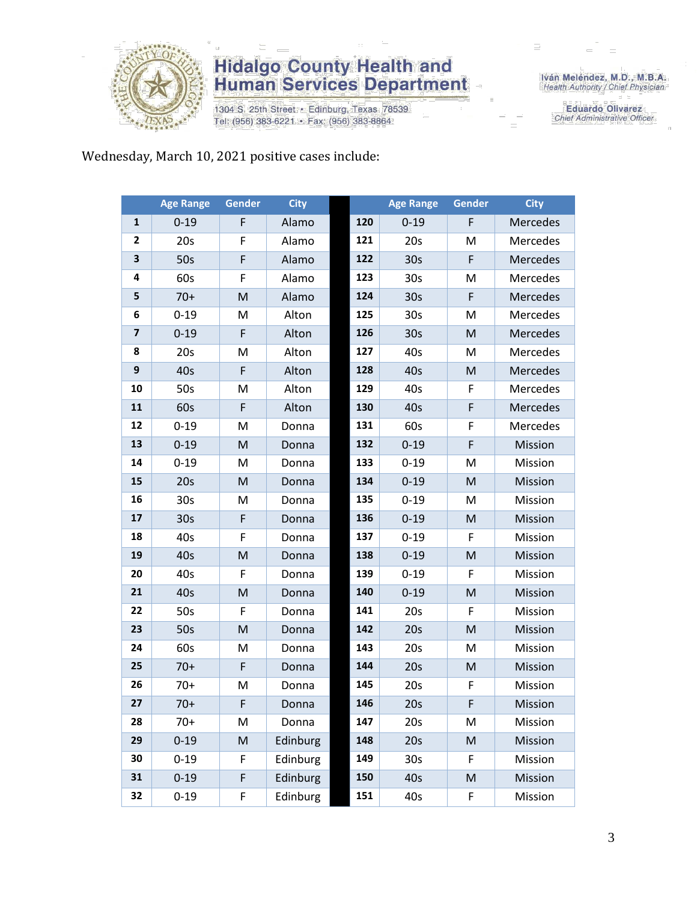

1304 S. 25th Street · Edinburg, Texas 78539 Tel: (956) 383-6221 · Fax: (956) 383-8864

Iván Meléndez, M.D., M.B.A.<br>Health Authority / Chief Physician

**Eduardo Olivarez** Chief Administrative Officer

Wednesday, March 10, 2021 positive cases include:

|                         | <b>Age Range</b> | <b>Gender</b> | <b>City</b> |     | <b>Age Range</b> | <b>Gender</b> | <b>City</b> |
|-------------------------|------------------|---------------|-------------|-----|------------------|---------------|-------------|
| $\mathbf{1}$            | $0 - 19$         | F             | Alamo       | 120 | $0 - 19$         | F             | Mercedes    |
| $\mathbf{2}$            | 20s              | F             | Alamo       | 121 | 20s              | M             | Mercedes    |
| 3                       | 50s              | F             | Alamo       | 122 | 30 <sub>s</sub>  | $\mathsf F$   | Mercedes    |
| 4                       | 60s              | F             | Alamo       | 123 | 30 <sub>s</sub>  | M             | Mercedes    |
| 5                       | $70+$            | M             | Alamo       | 124 | 30 <sub>s</sub>  | F             | Mercedes    |
| 6                       | $0 - 19$         | M             | Alton       | 125 | 30s              | M             | Mercedes    |
| $\overline{\mathbf{z}}$ | $0 - 19$         | F             | Alton       | 126 | 30 <sub>s</sub>  | M             | Mercedes    |
| 8                       | 20s              | M             | Alton       | 127 | 40s              | M             | Mercedes    |
| 9                       | 40s              | F             | Alton       | 128 | 40s              | M             | Mercedes    |
| 10                      | 50s              | M             | Alton       | 129 | 40s              | F             | Mercedes    |
| 11                      | 60s              | F             | Alton       | 130 | 40s              | $\mathsf F$   | Mercedes    |
| 12                      | $0 - 19$         | M             | Donna       | 131 | 60s              | F             | Mercedes    |
| 13                      | $0 - 19$         | M             | Donna       | 132 | $0 - 19$         | $\mathsf F$   | Mission     |
| 14                      | $0 - 19$         | M             | Donna       | 133 | $0 - 19$         | M             | Mission     |
| 15                      | 20s              | M             | Donna       | 134 | $0 - 19$         | ${\sf M}$     | Mission     |
| 16                      | 30 <sub>s</sub>  | M             | Donna       | 135 | $0 - 19$         | M             | Mission     |
| 17                      | 30 <sub>s</sub>  | F             | Donna       | 136 | $0 - 19$         | ${\sf M}$     | Mission     |
| 18                      | 40s              | F             | Donna       | 137 | $0 - 19$         | F             | Mission     |
| 19                      | 40s              | M             | Donna       | 138 | $0 - 19$         | M             | Mission     |
| 20                      | 40s              | F             | Donna       | 139 | $0 - 19$         | F             | Mission     |
| 21                      | 40s              | M             | Donna       | 140 | $0 - 19$         | M             | Mission     |
| 22                      | 50s              | F             | Donna       | 141 | 20s              | F             | Mission     |
| 23                      | 50s              | M             | Donna       | 142 | 20s              | ${\sf M}$     | Mission     |
| 24                      | 60s              | M             | Donna       | 143 | 20s              | M             | Mission     |
| 25                      | $70+$            | F             | Donna       | 144 | 20s              | M             | Mission     |
| 26                      | $70+$            | M             | Donna       | 145 | 20s              | F             | Mission     |
| 27                      | $70+$            | F             | Donna       | 146 | 20s              | F             | Mission     |
| 28                      | $70+$            | M             | Donna       | 147 | 20s              | M             | Mission     |
| 29                      | $0 - 19$         | ${\sf M}$     | Edinburg    | 148 | 20s              | M             | Mission     |
| 30                      | $0 - 19$         | F             | Edinburg    | 149 | 30 <sub>s</sub>  | F             | Mission     |
| 31                      | $0 - 19$         | F             | Edinburg    | 150 | 40s              | M             | Mission     |
| 32                      | $0 - 19$         | F             | Edinburg    | 151 | 40s              | F             | Mission     |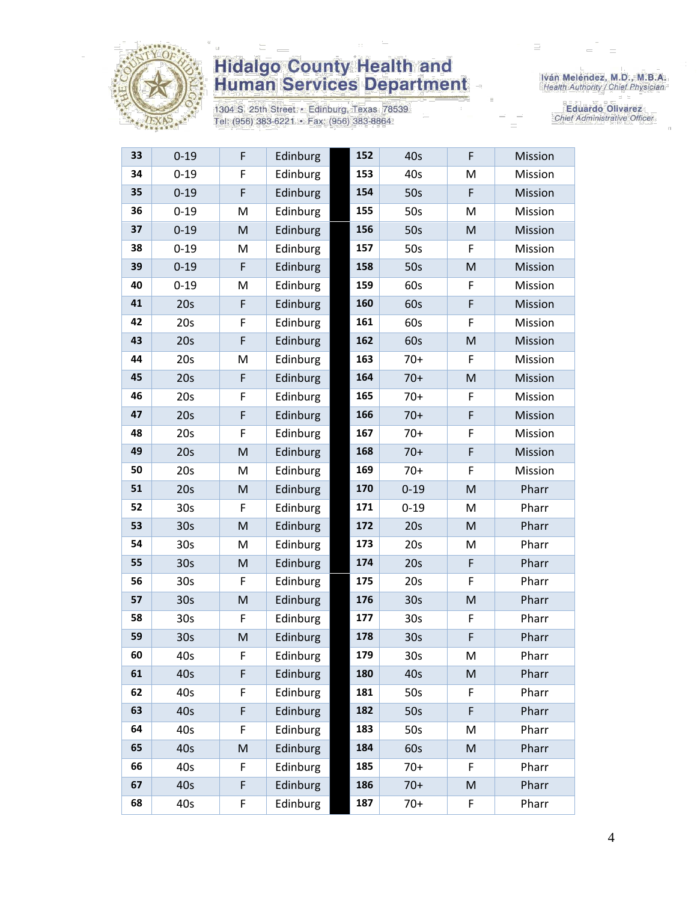

1304 S. 25th Street · Edinburg, Texas 78539 Tel: (956) 383-6221 · Fax: (956) 383-8864

Iván Meléndez, M.D., M.B.A.<br>Health Authority / Chief Physician

Eduardo Olivarez Chief Administrative Officer

| 33 | $0 - 19$        | F | Edinburg | 152 | 40s             | F                                                                                                          | Mission |
|----|-----------------|---|----------|-----|-----------------|------------------------------------------------------------------------------------------------------------|---------|
| 34 | $0 - 19$        | F | Edinburg | 153 | 40s             | M                                                                                                          | Mission |
| 35 | $0 - 19$        | F | Edinburg | 154 | 50s             | F                                                                                                          | Mission |
| 36 | $0 - 19$        | M | Edinburg | 155 | 50s             | M                                                                                                          | Mission |
| 37 | $0 - 19$        | M | Edinburg | 156 | 50s             | M                                                                                                          | Mission |
| 38 | $0 - 19$        | M | Edinburg | 157 | 50s             | F                                                                                                          | Mission |
| 39 | $0 - 19$        | F | Edinburg | 158 | 50s             | M                                                                                                          | Mission |
| 40 | $0 - 19$        | M | Edinburg | 159 | 60s             | F                                                                                                          | Mission |
| 41 | 20s             | F | Edinburg | 160 | 60s             | F                                                                                                          | Mission |
| 42 | 20s             | F | Edinburg | 161 | 60s             | F                                                                                                          | Mission |
| 43 | 20s             | F | Edinburg | 162 | 60s             | M                                                                                                          | Mission |
| 44 | 20s             | M | Edinburg | 163 | $70+$           | F                                                                                                          | Mission |
| 45 | 20s             | F | Edinburg | 164 | $70+$           | M                                                                                                          | Mission |
| 46 | 20s             | F | Edinburg | 165 | $70+$           | F                                                                                                          | Mission |
| 47 | 20s             | F | Edinburg | 166 | $70+$           | F                                                                                                          | Mission |
| 48 | 20s             | F | Edinburg | 167 | $70+$           | F                                                                                                          | Mission |
| 49 | 20s             | M | Edinburg | 168 | $70+$           | F                                                                                                          | Mission |
| 50 | 20s             | M | Edinburg | 169 | $70+$           | F                                                                                                          | Mission |
| 51 | 20s             | M | Edinburg | 170 | $0 - 19$        | M                                                                                                          | Pharr   |
| 52 | 30 <sub>s</sub> | F | Edinburg | 171 | $0 - 19$        | M                                                                                                          | Pharr   |
| 53 | 30s             | M | Edinburg | 172 | 20s             | M                                                                                                          | Pharr   |
| 54 | 30 <sub>s</sub> | M | Edinburg | 173 | 20s             | M                                                                                                          | Pharr   |
| 55 | 30 <sub>s</sub> | M | Edinburg | 174 | 20s             | F                                                                                                          | Pharr   |
| 56 | 30 <sub>s</sub> | F | Edinburg | 175 | 20s             | F                                                                                                          | Pharr   |
| 57 | 30 <sub>s</sub> | M | Edinburg | 176 | 30 <sub>s</sub> | M                                                                                                          | Pharr   |
| 58 | 30 <sub>s</sub> | F | Edinburg | 177 | 30 <sub>s</sub> | F                                                                                                          | Pharr   |
| 59 | 30 <sub>s</sub> | M | Edinburg | 178 | 30 <sub>s</sub> | F                                                                                                          | Pharr   |
| 60 | 40s             | F | Edinburg | 179 | 30 <sub>s</sub> | M                                                                                                          | Pharr   |
| 61 | 40s             | F | Edinburg | 180 | 40s             | M                                                                                                          | Pharr   |
| 62 | 40s             | F | Edinburg | 181 | 50s             | F                                                                                                          | Pharr   |
| 63 | 40s             | F | Edinburg | 182 | 50s             | F                                                                                                          | Pharr   |
| 64 | 40s             | F | Edinburg | 183 | 50s             | M                                                                                                          | Pharr   |
| 65 | 40s             | M | Edinburg | 184 | 60s             | $\mathsf{M}% _{T}=\mathsf{M}_{T}\!\left( a,b\right) ,\ \mathsf{M}_{T}=\mathsf{M}_{T}\!\left( a,b\right) ,$ | Pharr   |
| 66 | 40s             | F | Edinburg | 185 | $70+$           | F                                                                                                          | Pharr   |
| 67 | 40s             | F | Edinburg | 186 | $70+$           | M                                                                                                          | Pharr   |
| 68 | 40s             | F | Edinburg | 187 | $70+$           | F                                                                                                          | Pharr   |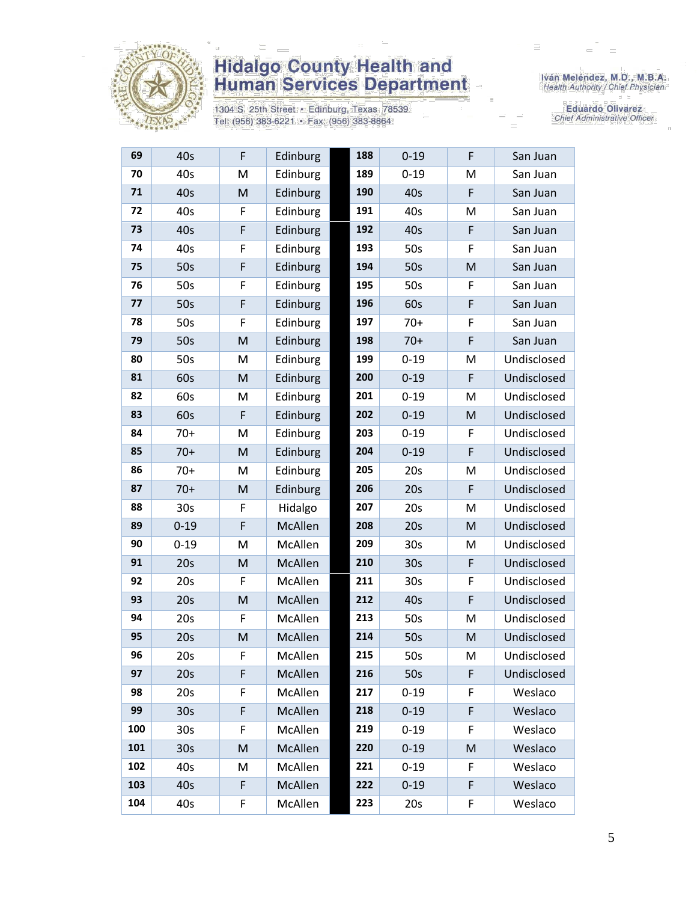

Г

# **Hidalgo County Health and<br>Human Services Department**

1304 S. 25th Street • Edinburg, Texas 78539<br>Tel: (956) 383-6221 • Fax: (956) 383-8864

Iván Meléndez, M.D., M.B.A.<br>Health Authority / Chief Physician

**Eduardo Olivarez** Chief Administrative Officer

| 69  | 40s             | F | Edinburg | 188 | $0 - 19$        | F | San Juan    |
|-----|-----------------|---|----------|-----|-----------------|---|-------------|
| 70  | 40s             | M | Edinburg | 189 | $0 - 19$        | M | San Juan    |
| 71  | 40s             | M | Edinburg | 190 | 40s             | F | San Juan    |
| 72  | 40s             | F | Edinburg | 191 | 40s             | M | San Juan    |
| 73  | 40s             | F | Edinburg | 192 | 40s             | F | San Juan    |
| 74  | 40s             | F | Edinburg | 193 | 50s             | F | San Juan    |
| 75  | 50s             | F | Edinburg | 194 | 50s             | M | San Juan    |
| 76  | 50s             | F | Edinburg | 195 | 50s             | F | San Juan    |
| 77  | 50s             | F | Edinburg | 196 | 60s             | F | San Juan    |
| 78  | 50s             | F | Edinburg | 197 | $70+$           | F | San Juan    |
| 79  | 50s             | M | Edinburg | 198 | $70+$           | F | San Juan    |
| 80  | 50s             | M | Edinburg | 199 | $0 - 19$        | M | Undisclosed |
| 81  | 60s             | M | Edinburg | 200 | $0 - 19$        | F | Undisclosed |
| 82  | 60s             | M | Edinburg | 201 | $0 - 19$        | M | Undisclosed |
| 83  | 60s             | F | Edinburg | 202 | $0 - 19$        | M | Undisclosed |
| 84  | $70+$           | M | Edinburg | 203 | $0 - 19$        | F | Undisclosed |
| 85  | $70+$           | M | Edinburg | 204 | $0 - 19$        | F | Undisclosed |
| 86  | $70+$           | M | Edinburg | 205 | 20s             | M | Undisclosed |
| 87  | $70+$           | M | Edinburg | 206 | 20s             | F | Undisclosed |
| 88  | 30 <sub>s</sub> | F | Hidalgo  | 207 | 20s             | M | Undisclosed |
| 89  | $0 - 19$        | F | McAllen  | 208 | 20s             | M | Undisclosed |
| 90  | $0 - 19$        | M | McAllen  | 209 | 30 <sub>s</sub> | M | Undisclosed |
| 91  | 20s             | M | McAllen  | 210 | 30 <sub>s</sub> | F | Undisclosed |
| 92  | 20s             | F | McAllen  | 211 | 30s             | F | Undisclosed |
| 93  | 20s             | M | McAllen  | 212 | 40s             | F | Undisclosed |
| 94  | 20s             | F | McAllen  | 213 | 50s             | M | Undisclosed |
| 95  | 20s             | M | McAllen  | 214 | 50s             | M | Undisclosed |
| 96  | 20s             | F | McAllen  | 215 | 50s             | M | Undisclosed |
| 97  | 20s             | F | McAllen  | 216 | 50s             | F | Undisclosed |
| 98  | 20s             | F | McAllen  | 217 | $0 - 19$        | F | Weslaco     |
| 99  | 30 <sub>s</sub> | F | McAllen  | 218 | $0 - 19$        | F | Weslaco     |
| 100 | 30 <sub>s</sub> | F | McAllen  | 219 | $0 - 19$        | F | Weslaco     |
| 101 | 30 <sub>s</sub> | M | McAllen  | 220 | $0 - 19$        | M | Weslaco     |
| 102 | 40s             | M | McAllen  | 221 | $0 - 19$        | F | Weslaco     |
| 103 | 40s             | F | McAllen  | 222 | $0 - 19$        | F | Weslaco     |
| 104 | 40s             | F | McAllen  | 223 | 20s             | F | Weslaco     |